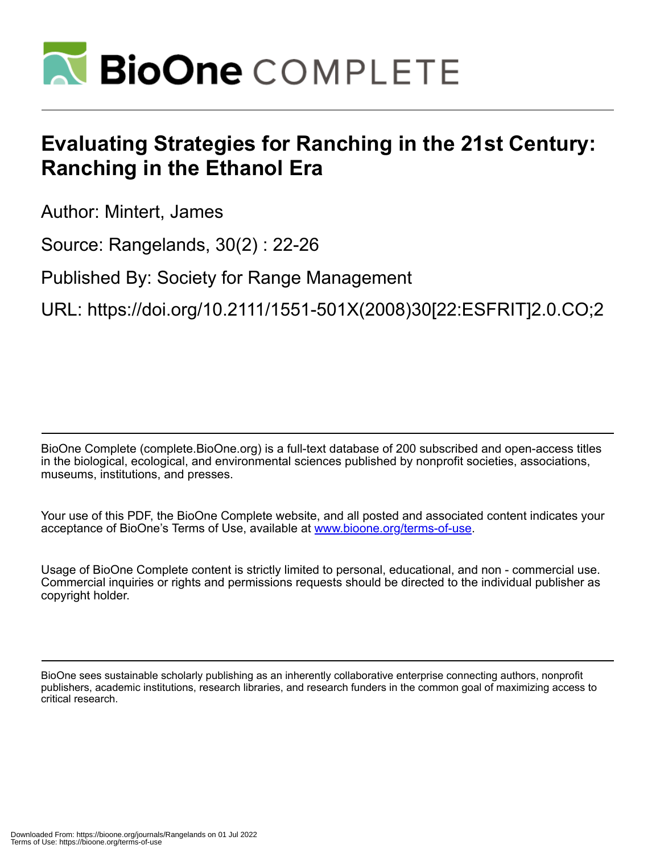

## **Evaluating Strategies for Ranching in the 21st Century: Ranching in the Ethanol Era**

Author: Mintert, James

Source: Rangelands, 30(2) : 22-26

Published By: Society for Range Management

URL: https://doi.org/10.2111/1551-501X(2008)30[22:ESFRIT]2.0.CO;2

BioOne Complete (complete.BioOne.org) is a full-text database of 200 subscribed and open-access titles in the biological, ecological, and environmental sciences published by nonprofit societies, associations, museums, institutions, and presses.

Your use of this PDF, the BioOne Complete website, and all posted and associated content indicates your acceptance of BioOne's Terms of Use, available at www.bioone.org/terms-of-use.

Usage of BioOne Complete content is strictly limited to personal, educational, and non - commercial use. Commercial inquiries or rights and permissions requests should be directed to the individual publisher as copyright holder.

BioOne sees sustainable scholarly publishing as an inherently collaborative enterprise connecting authors, nonprofit publishers, academic institutions, research libraries, and research funders in the common goal of maximizing access to critical research.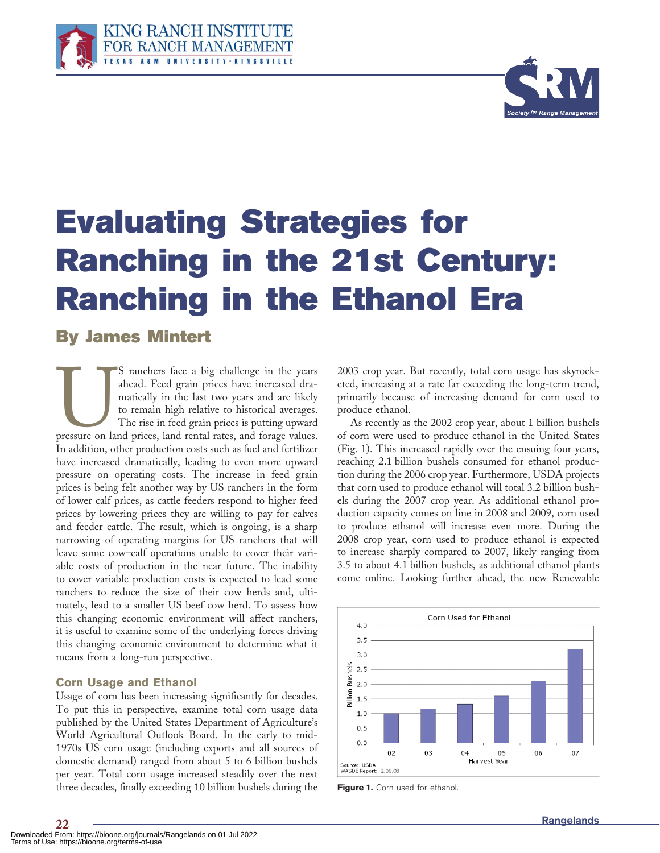



# **Evaluating Strategies for Ranching in the 21st Century: Ranching in the Ethanol Era**

### **By James Mintert**

S ranchers face a big challenge in the years<br>
ahead. Feed grain prices have increased dra-<br>
matically in the last two years and are likely<br>
to remain high relative to historical averages.<br>
The rise in feed grain prices is ahead. Feed grain prices have increased dramatically in the last two years and are likely to remain high relative to historical averages. The rise in feed grain prices is putting upward In addition, other production costs such as fuel and fertilizer have increased dramatically, leading to even more upward pressure on operating costs. The increase in feed grain prices is being felt another way by US ranchers in the form of lower calf prices, as cattle feeders respond to higher feed prices by lowering prices they are willing to pay for calves and feeder cattle. The result, which is ongoing, is a sharp narrowing of operating margins for US ranchers that will leave some cow–calf operations unable to cover their variable costs of production in the near future. The inability to cover variable production costs is expected to lead some ranchers to reduce the size of their cow herds and, ultimately, lead to a smaller US beef cow herd. To assess how this changing economic environment will affect ranchers, it is useful to examine some of the underlying forces driving this changing economic environment to determine what it means from a long-run perspective.

#### **Corn Usage and Ethanol**

Usage of corn has been increasing significantly for decades. To put this in perspective, examine total corn usage data published by the United States Department of Agriculture's World Agricultural Outlook Board. In the early to mid-1970s US corn usage (including exports and all sources of domestic demand) ranged from about 5 to 6 billion bushels per year. Total corn usage increased steadily over the next three decades, finally exceeding 10 billion bushels during the **Figure 1.** Corn used for ethanol.

2003 crop year. But recently, total corn usage has skyrocketed, increasing at a rate far exceeding the long-term trend, primarily because of increasing demand for corn used to produce ethanol.

As recently as the 2002 crop year, about 1 billion bushels of corn were used to produce ethanol in the United States (Fig. 1). This increased rapidly over the ensuing four years, reaching 2.1 billion bushels consumed for ethanol production during the 2006 crop year. Furthermore, USDA projects that corn used to produce ethanol will total 3.2 billion bushels during the 2007 crop year. As additional ethanol production capacity comes on line in 2008 and 2009, corn used to produce ethanol will increase even more. During the 2008 crop year, corn used to produce ethanol is expected to increase sharply compared to 2007, likely ranging from 3.5 to about 4.1 billion bushels, as additional ethanol plants come online. Looking further ahead, the new Renewable

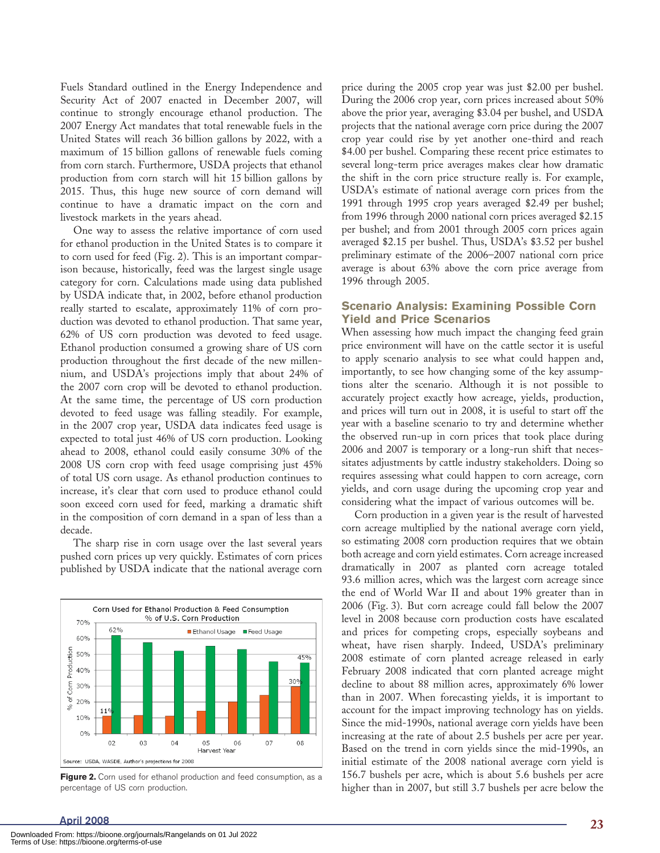Fuels Standard outlined in the Energy Independence and Security Act of 2007 enacted in December 2007, will continue to strongly encourage ethanol production. The 2007 Energy Act mandates that total renewable fuels in the United States will reach 36 billion gallons by 2022, with a maximum of 15 billion gallons of renewable fuels coming from corn starch. Furthermore, USDA projects that ethanol production from corn starch will hit 15 billion gallons by 2015. Thus, this huge new source of corn demand will continue to have a dramatic impact on the corn and livestock markets in the years ahead.

One way to assess the relative importance of corn used for ethanol production in the United States is to compare it to corn used for feed (Fig. 2). This is an important comparison because, historically, feed was the largest single usage category for corn. Calculations made using data published by USDA indicate that, in 2002, before ethanol production really started to escalate, approximately 11% of corn production was devoted to ethanol production. That same year, 62% of US corn production was devoted to feed usage. Ethanol production consumed a growing share of US corn production throughout the first decade of the new millennium, and USDA's projections imply that about 24% of the 2007 corn crop will be devoted to ethanol production. At the same time, the percentage of US corn production devoted to feed usage was falling steadily. For example, in the 2007 crop year, USDA data indicates feed usage is expected to total just 46% of US corn production. Looking ahead to 2008, ethanol could easily consume 30% of the 2008 US corn crop with feed usage comprising just 45% of total US corn usage. As ethanol production continues to increase, it's clear that corn used to produce ethanol could soon exceed corn used for feed, marking a dramatic shift in the composition of corn demand in a span of less than a decade.

The sharp rise in corn usage over the last several years pushed corn prices up very quickly. Estimates of corn prices published by USDA indicate that the national average corn



Figure 2. Corn used for ethanol production and feed consumption, as a percentage of US corn production.

price during the 2005 crop year was just \$2.00 per bushel. During the 2006 crop year, corn prices increased about 50% above the prior year, averaging \$3.04 per bushel, and USDA projects that the national average corn price during the 2007 crop year could rise by yet another one-third and reach \$4.00 per bushel. Comparing these recent price estimates to several long-term price averages makes clear how dramatic the shift in the corn price structure really is. For example, USDA's estimate of national average corn prices from the 1991 through 1995 crop years averaged \$2.49 per bushel; from 1996 through 2000 national corn prices averaged \$2.15 per bushel; and from 2001 through 2005 corn prices again averaged \$2.15 per bushel. Thus, USDA's \$3.52 per bushel preliminary estimate of the 2006–2007 national corn price average is about 63% above the corn price average from 1996 through 2005.

#### **Scenario Analysis: Examining Possible Corn Yield and Price Scenarios**

When assessing how much impact the changing feed grain price environment will have on the cattle sector it is useful to apply scenario analysis to see what could happen and, importantly, to see how changing some of the key assumptions alter the scenario. Although it is not possible to accurately project exactly how acreage, yields, production, and prices will turn out in 2008, it is useful to start off the year with a baseline scenario to try and determine whether the observed run-up in corn prices that took place during 2006 and 2007 is temporary or a long-run shift that necessitates adjustments by cattle industry stakeholders. Doing so requires assessing what could happen to corn acreage, corn yields, and corn usage during the upcoming crop year and considering what the impact of various outcomes will be.

Corn production in a given year is the result of harvested corn acreage multiplied by the national average corn yield, so estimating 2008 corn production requires that we obtain both acreage and corn yield estimates. Corn acreage increased dramatically in 2007 as planted corn acreage totaled 93.6 million acres, which was the largest corn acreage since the end of World War II and about 19% greater than in 2006 (Fig. 3). But corn acreage could fall below the 2007 level in 2008 because corn production costs have escalated and prices for competing crops, especially soybeans and wheat, have risen sharply. Indeed, USDA's preliminary 2008 estimate of corn planted acreage released in early February 2008 indicated that corn planted acreage might decline to about 88 million acres, approximately 6% lower than in 2007. When forecasting yields, it is important to account for the impact improving technology has on yields. Since the mid-1990s, national average corn yields have been increasing at the rate of about 2.5 bushels per acre per year. Based on the trend in corn yields since the mid-1990s, an initial estimate of the 2008 national average corn yield is 156.7 bushels per acre, which is about 5.6 bushels per acre higher than in 2007, but still 3.7 bushels per acre below the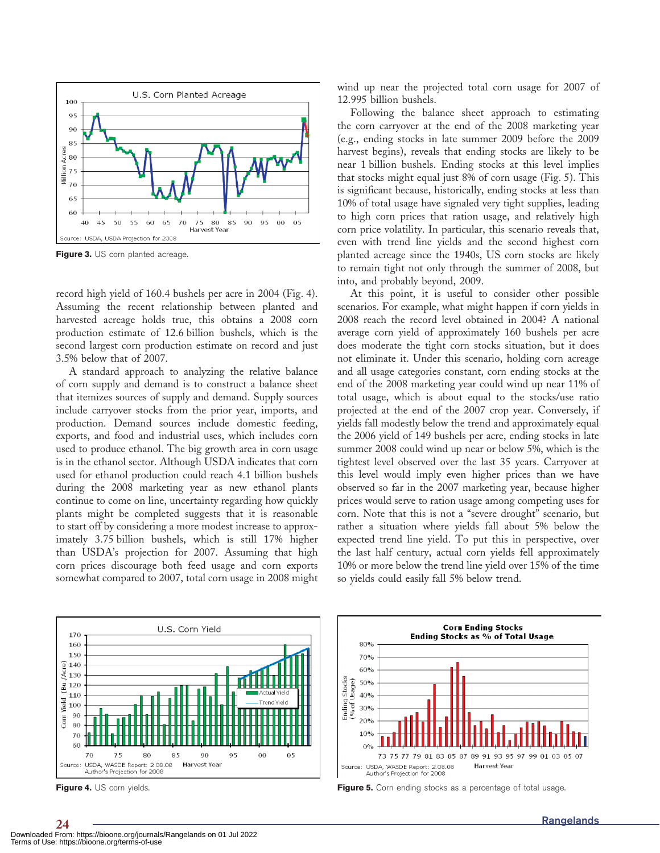

Figure 3. US corn planted acreage.

record high yield of 160.4 bushels per acre in 2004 (Fig. 4). Assuming the recent relationship between planted and harvested acreage holds true, this obtains a 2008 corn production estimate of 12.6 billion bushels, which is the second largest corn production estimate on record and just 3.5% below that of 2007.

A standard approach to analyzing the relative balance of corn supply and demand is to construct a balance sheet that itemizes sources of supply and demand. Supply sources include carryover stocks from the prior year, imports, and production. Demand sources include domestic feeding, exports, and food and industrial uses, which includes corn used to produce ethanol. The big growth area in corn usage is in the ethanol sector. Although USDA indicates that corn used for ethanol production could reach 4.1 billion bushels during the 2008 marketing year as new ethanol plants continue to come on line, uncertainty regarding how quickly plants might be completed suggests that it is reasonable to start off by considering a more modest increase to approximately 3.75 billion bushels, which is still 17% higher than USDA's projection for 2007. Assuming that high corn prices discourage both feed usage and corn exports somewhat compared to 2007, total corn usage in 2008 might

U.S. Corn Yield 170 160 150  $\begin{array}{c} \n\begin{array}{c}\n\odot \\
0 \\
0\n\end{array} \\
= 130\n\end{array}$  $\frac{3}{6}$  120 110 Yield 100  $^{90}$ Corn 80  $70$ 60 70 75 80 85 90 95 00 05 USDA, WASDE Report: 2.08.08<br>Author's Projection for 2008 Source: Harvest Year

wind up near the projected total corn usage for 2007 of 12.995 billion bushels.

Following the balance sheet approach to estimating the corn carryover at the end of the 2008 marketing year (e.g., ending stocks in late summer 2009 before the 2009 harvest begins), reveals that ending stocks are likely to be near 1 billion bushels. Ending stocks at this level implies that stocks might equal just 8% of corn usage (Fig. 5). This is significant because, historically, ending stocks at less than 10% of total usage have signaled very tight supplies, leading to high corn prices that ration usage, and relatively high corn price volatility. In particular, this scenario reveals that, even with trend line yields and the second highest corn planted acreage since the 1940s, US corn stocks are likely to remain tight not only through the summer of 2008, but into, and probably beyond, 2009.

At this point, it is useful to consider other possible scenarios. For example, what might happen if corn yields in 2008 reach the record level obtained in 2004? A national average corn yield of approximately 160 bushels per acre does moderate the tight corn stocks situation, but it does not eliminate it. Under this scenario, holding corn acreage and all usage categories constant, corn ending stocks at the end of the 2008 marketing year could wind up near 11% of total usage, which is about equal to the stocks/use ratio projected at the end of the 2007 crop year. Conversely, if yields fall modestly below the trend and approximately equal the 2006 yield of 149 bushels per acre, ending stocks in late summer 2008 could wind up near or below 5%, which is the tightest level observed over the last 35 years. Carryover at this level would imply even higher prices than we have observed so far in the 2007 marketing year, because higher prices would serve to ration usage among competing uses for corn. Note that this is not a "severe drought" scenario, but rather a situation where yields fall about 5% below the expected trend line yield. To put this in perspective, over the last half century, actual corn yields fell approximately 10% or more below the trend line yield over 15% of the time so yields could easily fall 5% below trend.



**Figure 4.** US corn yields. **Figure 5. Figure 5.** Corn ending stocks as a percentage of total usage.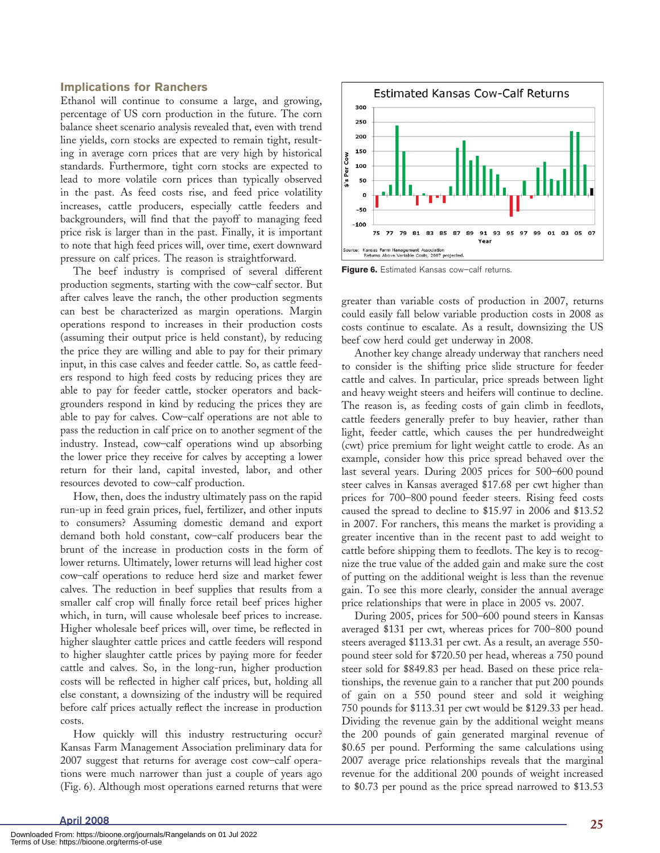#### **Implications for Ranchers**

Ethanol will continue to consume a large, and growing, percentage of US corn production in the future. The corn balance sheet scenario analysis revealed that, even with trend line yields, corn stocks are expected to remain tight, resulting in average corn prices that are very high by historical standards. Furthermore, tight corn stocks are expected to lead to more volatile corn prices than typically observed in the past. As feed costs rise, and feed price volatility increases, cattle producers, especially cattle feeders and backgrounders, will find that the payoff to managing feed price risk is larger than in the past. Finally, it is important to note that high feed prices will, over time, exert downward pressure on calf prices. The reason is straightforward.

The beef industry is comprised of several different production segments, starting with the cow–calf sector. But after calves leave the ranch, the other production segments can best be characterized as margin operations. Margin operations respond to increases in their production costs (assuming their output price is held constant), by reducing the price they are willing and able to pay for their primary input, in this case calves and feeder cattle. So, as cattle feeders respond to high feed costs by reducing prices they are able to pay for feeder cattle, stocker operators and backgrounders respond in kind by reducing the prices they are able to pay for calves. Cow–calf operations are not able to pass the reduction in calf price on to another segment of the industry. Instead, cow–calf operations wind up absorbing the lower price they receive for calves by accepting a lower return for their land, capital invested, labor, and other resources devoted to cow–calf production.

How, then, does the industry ultimately pass on the rapid run-up in feed grain prices, fuel, fertilizer, and other inputs to consumers? Assuming domestic demand and export demand both hold constant, cow–calf producers bear the brunt of the increase in production costs in the form of lower returns. Ultimately, lower returns will lead higher cost cow–calf operations to reduce herd size and market fewer calves. The reduction in beef supplies that results from a smaller calf crop will finally force retail beef prices higher which, in turn, will cause wholesale beef prices to increase. Higher wholesale beef prices will, over time, be reflected in higher slaughter cattle prices and cattle feeders will respond to higher slaughter cattle prices by paying more for feeder cattle and calves. So, in the long-run, higher production costs will be reflected in higher calf prices, but, holding all else constant, a downsizing of the industry will be required before calf prices actually reflect the increase in production costs.

How quickly will this industry restructuring occur? Kansas Farm Management Association preliminary data for 2007 suggest that returns for average cost cow–calf operations were much narrower than just a couple of years ago (Fig. 6). Although most operations earned returns that were



**Figure 6.** Estimated Kansas cow–calf returns.

greater than variable costs of production in 2007, returns could easily fall below variable production costs in 2008 as costs continue to escalate. As a result, downsizing the US beef cow herd could get underway in 2008.

Another key change already underway that ranchers need to consider is the shifting price slide structure for feeder cattle and calves. In particular, price spreads between light and heavy weight steers and heifers will continue to decline. The reason is, as feeding costs of gain climb in feedlots, cattle feeders generally prefer to buy heavier, rather than light, feeder cattle, which causes the per hundredweight (cwt) price premium for light weight cattle to erode. As an example, consider how this price spread behaved over the last several years. During 2005 prices for 500–600 pound steer calves in Kansas averaged \$17.68 per cwt higher than prices for 700–800 pound feeder steers. Rising feed costs caused the spread to decline to \$15.97 in 2006 and \$13.52 in 2007. For ranchers, this means the market is providing a greater incentive than in the recent past to add weight to cattle before shipping them to feedlots. The key is to recognize the true value of the added gain and make sure the cost of putting on the additional weight is less than the revenue gain. To see this more clearly, consider the annual average price relationships that were in place in 2005 vs. 2007.

During 2005, prices for 500–600 pound steers in Kansas averaged \$131 per cwt, whereas prices for 700–800 pound steers averaged \$113.31 per cwt. As a result, an average 550 pound steer sold for \$720.50 per head, whereas a 750 pound steer sold for \$849.83 per head. Based on these price relationships, the revenue gain to a rancher that put 200 pounds of gain on a 550 pound steer and sold it weighing 750 pounds for \$113.31 per cwt would be \$129.33 per head. Dividing the revenue gain by the additional weight means the 200 pounds of gain generated marginal revenue of \$0.65 per pound. Performing the same calculations using 2007 average price relationships reveals that the marginal revenue for the additional 200 pounds of weight increased to \$0.73 per pound as the price spread narrowed to \$13.53